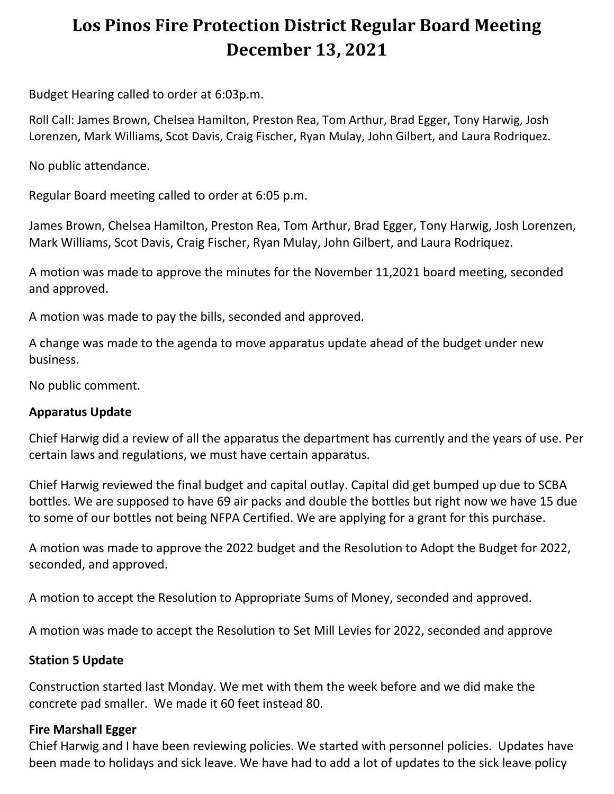# **Los Pinos Fire Protection District Regular Board Meeting December 13, 2021**

Budget Hearing called to order at 6:03p.m.

Roll Call: James Brown, Chelsea Hamilton, Preston Rea, Tom Arthur, Brad Egger, Tony Harwig, Josh Lorenzen, Mark Williams, Scot Davis, Craig Fischer, Ryan Mulay, John Gilbert, and Laura Rodriquez.

No public attendance.

Regular Board meeting called to order at 6:05 p.m.

James Brown, Chelsea Hamilton, Preston Rea, Tom Arthur, Brad Egger, Tony Harwig, Josh Lorenzen, Mark Williams, Scot Davis, Craig Fischer, Ryan Mulay, John Gilbert, and Laura Rodriquez.

A motion was made to approve the minutes for the November 11,2021 board meeting, seconded and approved.

A motion was made to pay the bills, seconded and approved.

A change was made to the agenda to move apparatus update ahead of the budget under new business.

No public comment.

## **Apparatus Update**

Chief Harwig did a review of all the apparatus the department has currently and the years of use. Per certain laws and regulations, we must have certain apparatus.

Chief Harwig reviewed the final budget and capital outlay. Capital did get bumped up due to SCBA bottles. We are supposed to have 69 air packs and double the bottles but right now we have 15 due to some of our bottles not being NFPA Certified. We are applying for a grant for this purchase.

A motion was made to approve the 2022 budget and the Resolution to Adopt the Budget for 2022, seconded, and approved.

A motion to accept the Resolution to Appropriate Sums of Money, seconded and approved.

A motion was made to accept the Resolution to Set Mill Levies for 2022, seconded and approve

## **Station 5 Update**

Construction started last Monday. We met with them the week before and we did make the concrete pad smaller. We made it 60 feet instead 80.

#### **Fire Marshall Egger**

Chief Harwig and I have been reviewing policies. We started with personnel policies. Updates have been made to holidays and sick leave. We have had to add a lot of updates to the sick leave policy